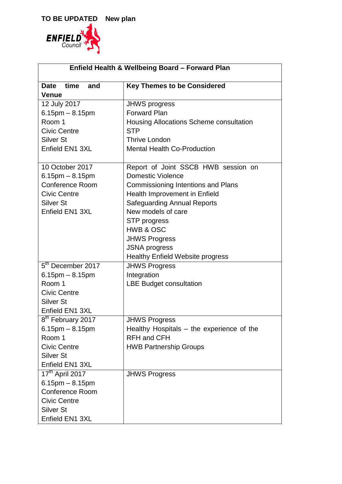

| Enfield Health & Wellbeing Board - Forward Plan |                                           |  |
|-------------------------------------------------|-------------------------------------------|--|
| time<br><b>Date</b><br>and                      | <b>Key Themes to be Considered</b>        |  |
| <b>Venue</b>                                    |                                           |  |
| 12 July 2017                                    | <b>JHWS progress</b>                      |  |
| $6.15$ pm $- 8.15$ pm                           | <b>Forward Plan</b>                       |  |
| Room 1                                          | Housing Allocations Scheme consultation   |  |
| <b>Civic Centre</b>                             | <b>STP</b>                                |  |
| Silver St                                       | <b>Thrive London</b>                      |  |
| Enfield EN1 3XL                                 | <b>Mental Health Co-Production</b>        |  |
|                                                 |                                           |  |
| 10 October 2017                                 | Report of Joint SSCB HWB session on       |  |
| $6.15$ pm $- 8.15$ pm                           | <b>Domestic Violence</b>                  |  |
| <b>Conference Room</b>                          | <b>Commissioning Intentions and Plans</b> |  |
| <b>Civic Centre</b>                             | Health Improvement in Enfield             |  |
| <b>Silver St</b>                                | <b>Safeguarding Annual Reports</b>        |  |
| Enfield EN1 3XL                                 | New models of care                        |  |
|                                                 | <b>STP</b> progress                       |  |
|                                                 | HWB & OSC                                 |  |
|                                                 | <b>JHWS Progress</b>                      |  |
|                                                 | <b>JSNA</b> progress                      |  |
|                                                 | <b>Healthy Enfield Website progress</b>   |  |
| 5 <sup>th</sup> December 2017                   | <b>JHWS Progress</b>                      |  |
| $6.15$ pm $- 8.15$ pm                           | Integration                               |  |
| Room 1                                          | <b>LBE Budget consultation</b>            |  |
| <b>Civic Centre</b>                             |                                           |  |
| <b>Silver St</b>                                |                                           |  |
| Enfield EN1 3XL                                 |                                           |  |
| 8 <sup>th</sup> February 2017                   | <b>JHWS Progress</b>                      |  |
| $6.15$ pm $- 8.15$ pm                           | Healthy Hospitals - the experience of the |  |
| Room 1                                          | <b>RFH and CFH</b>                        |  |
| <b>Civic Centre</b>                             | <b>HWB Partnership Groups</b>             |  |
| <b>Silver St</b>                                |                                           |  |
| Enfield EN1 3XL                                 |                                           |  |
| 17 <sup>th</sup> April 2017                     | <b>JHWS Progress</b>                      |  |
| $6.15$ pm $- 8.15$ pm                           |                                           |  |
| <b>Conference Room</b>                          |                                           |  |
| <b>Civic Centre</b>                             |                                           |  |
| <b>Silver St</b>                                |                                           |  |
| Enfield EN1 3XL                                 |                                           |  |